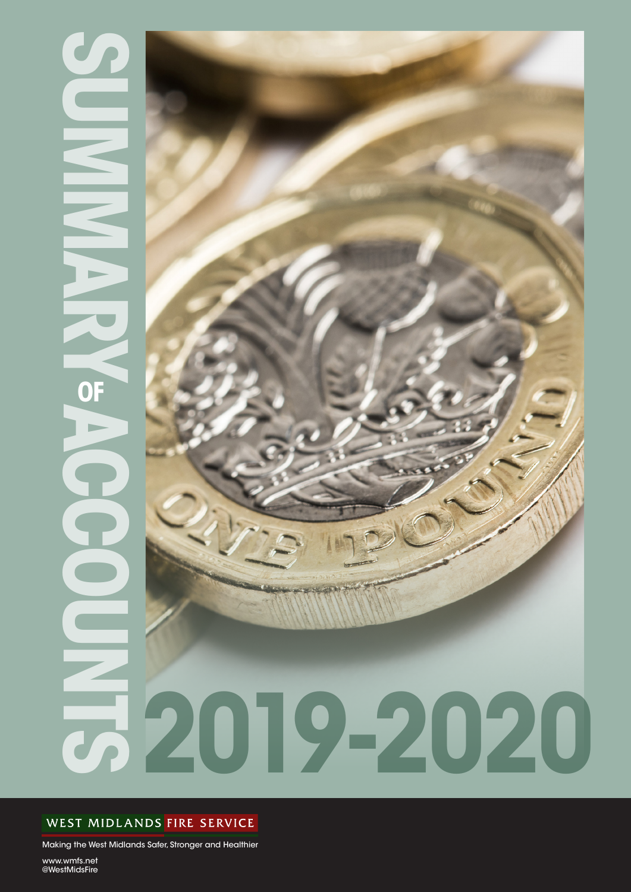# **SUMMARY ACCOUNTS OF**  $\overline{\textbf{O}}$



### WEST MIDLANDS FIRE SERVICE

Making the West Midlands Safer, Stronger and Healthier

www.wmfs.net @WestMidsFire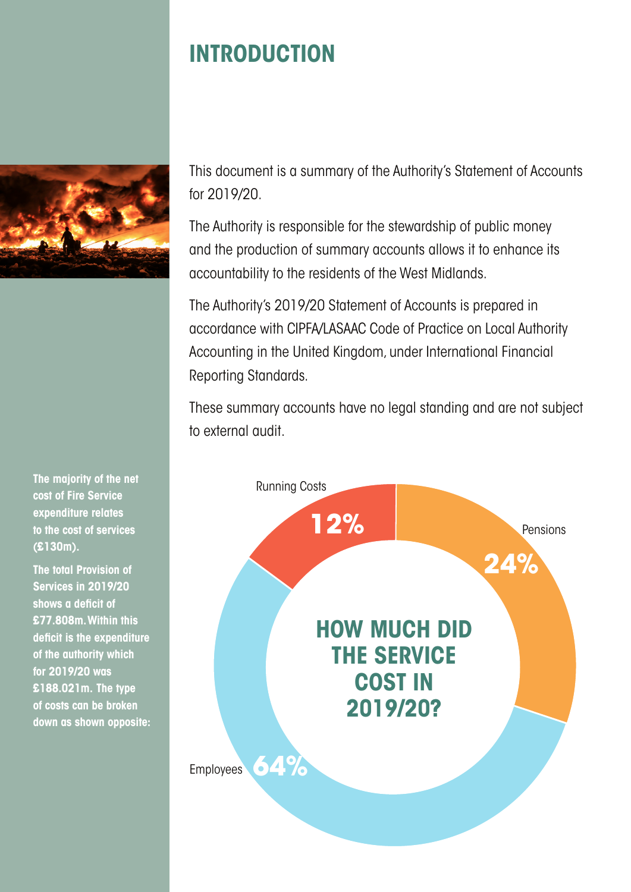

**The majority of the net cost of Fire Service expenditure relates to the cost of services (£130m).**

**The total Provision of Services in 2019/20 shows a deficit of £77.808m. Within this deficit is the expenditure of the authority which for 2019/20 was £188.021m. The type of costs can be broken down as shown opposite:**

# **INTRODUCTION**

This document is a summary of the Authority's Statement of Accounts for 2019/20.

The Authority is responsible for the stewardship of public money and the production of summary accounts allows it to enhance its accountability to the residents of the West Midlands.

The Authority's 2019/20 Statement of Accounts is prepared in accordance with CIPFA/LASAAC Code of Practice on Local Authority Accounting in the United Kingdom, under International Financial Reporting Standards.

These summary accounts have no legal standing and are not subject to external audit.

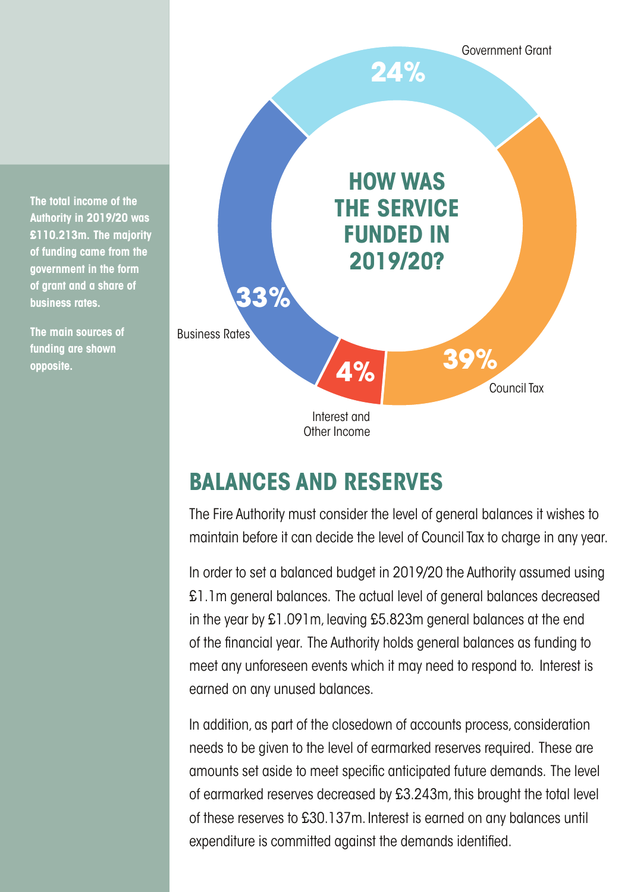**The total income of the Authority in 2019/20 was £110.213m. The majority of funding came from the government in the form of grant and a share of business rates.**

**The main sources of funding are shown opposite.**



## **BALANCES AND RESERVES**

The Fire Authority must consider the level of general balances it wishes to maintain before it can decide the level of Council Tax to charge in any year.

In order to set a balanced budget in 2019/20 the Authority assumed using £1.1m general balances. The actual level of general balances decreased in the year by £1.091m, leaving £5.823m general balances at the end of the financial year. The Authority holds general balances as funding to meet any unforeseen events which it may need to respond to. Interest is earned on any unused balances.

In addition, as part of the closedown of accounts process, consideration needs to be given to the level of earmarked reserves required. These are amounts set aside to meet specific anticipated future demands. The level of earmarked reserves decreased by £3.243m, this brought the total level of these reserves to £30.137m. Interest is earned on any balances until expenditure is committed against the demands identified.